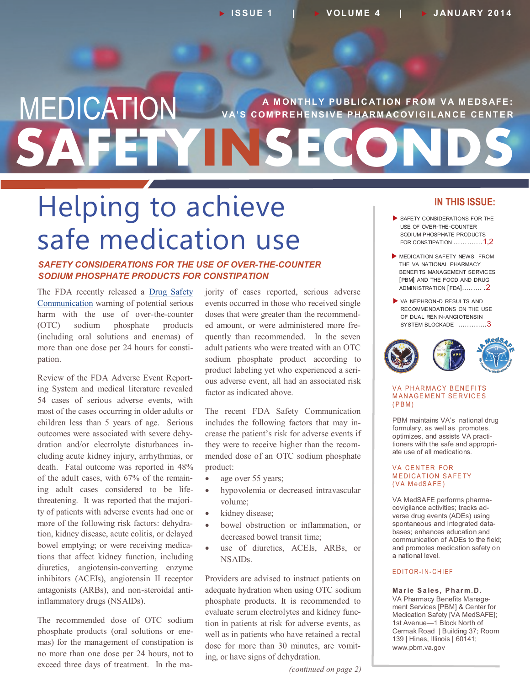# **SAFETYINSECONDS** MEDICATION **A MONTHLY PUBLICATION FROM VA MEDSAFE: V A' S COM PRE HE NS I V E P HARM ACOV I G I LAN CE CE NT E R**

# Helping to achieve safe medication use

## *SAFETY CONSIDERATIONS FOR THE USE OF OVER-THE-COUNTER SODIUM PHOSPHATE PRODUCTS FOR CONSTIPATION*

The FDA recently released a [Drug Safety](http://www.fda.gov/Drugs/DrugSafety/ucm380757.htm)  [Communication](http://www.fda.gov/Drugs/DrugSafety/ucm380757.htm) warning of potential serious harm with the use of over-the-counter (OTC) sodium phosphate products (including oral solutions and enemas) of more than one dose per 24 hours for constipation.

Review of the FDA Adverse Event Reporting System and medical literature revealed 54 cases of serious adverse events, with most of the cases occurring in older adults or children less than 5 years of age. Serious outcomes were associated with severe dehydration and/or electrolyte disturbances including acute kidney injury, arrhythmias, or death. Fatal outcome was reported in 48% of the adult cases, with 67% of the remaining adult cases considered to be lifethreatening. It was reported that the majority of patients with adverse events had one or more of the following risk factors: dehydration, kidney disease, acute colitis, or delayed bowel emptying; or were receiving medications that affect kidney function, including diuretics, angiotensin-converting enzyme inhibitors (ACEIs), angiotensin II receptor antagonists (ARBs), and non-steroidal antiinflammatory drugs (NSAIDs).

The recommended dose of OTC sodium phosphate products (oral solutions or enemas) for the management of constipation is no more than one dose per 24 hours, not to exceed three days of treatment. In the majority of cases reported, serious adverse events occurred in those who received single doses that were greater than the recommended amount, or were administered more frequently than recommended. In the seven adult patients who were treated with an OTC sodium phosphate product according to product labeling yet who experienced a serious adverse event, all had an associated risk factor as indicated above.

The recent FDA Safety Communication includes the following factors that may increase the patient's risk for adverse events if they were to receive higher than the recommended dose of an OTC sodium phosphate product:

- age over 55 years;
- hypovolemia or decreased intravascular volume;
- kidney disease;
- bowel obstruction or inflammation, or decreased bowel transit time;
- use of diuretics, ACEIs, ARBs, or NSAIDs.

Providers are advised to instruct patients on adequate hydration when using OTC sodium phosphate products. It is recommended to evaluate serum electrolytes and kidney function in patients at risk for adverse events, as well as in patients who have retained a rectal dose for more than 30 minutes, are vomiting, or have signs of dehydration.

#### *(continued on page 2)*

## **IN THIS ISSUE:**

- SAFETY CONSIDERATIONS FOR THE USE OF OVER-THE-COUNTER SODIUM PHOSPHATE PRODUCTS FOR CONSTIPATION .............1,2
- **MEDICATION SAFETY NEWS FROM** THE VA NATIONAL PHARMACY BENEFITS MANAGEMENT SERVICES [PBM] AND THE FOOD AND DRUG ADMINISTRATION [FDA]..……. .2
- VA NEPHRON-D RESULTS AND RECOMMENDATIONS ON THE USE OF DUAL RENIN-ANGIOTENSIN SYSTEM BLOCKADE ………….3



#### VA PHARMACY BENEFITS **MANAGEMENT SERVICES**  $(PBM)$

PBM maintains VA's national drug formulary, as well as promotes, optimizes, and assists VA practitioners with the safe and appropriate use of all medications.

#### **VA CENTER FOR MEDICATION SAFETY** (VA MedSAFE)

VA MedSAFE performs pharmacovigilance activities; tracks adverse drug events (ADEs) using spontaneous and integrated databases; enhances education and communication of ADEs to the field; and promotes medication safety on a national level.

#### EDITOR-IN-CHIEF

**Ma r ie S a les, P har m.D .** VA Pharmacy Benefits Management Services [PBM] & Center for Medication Safety [VA MedSAFE]; 1st Avenue—1 Block North of Cermak Road | Building 37; Room 139 | Hines, Illinois | 60141; www.pbm.va.gov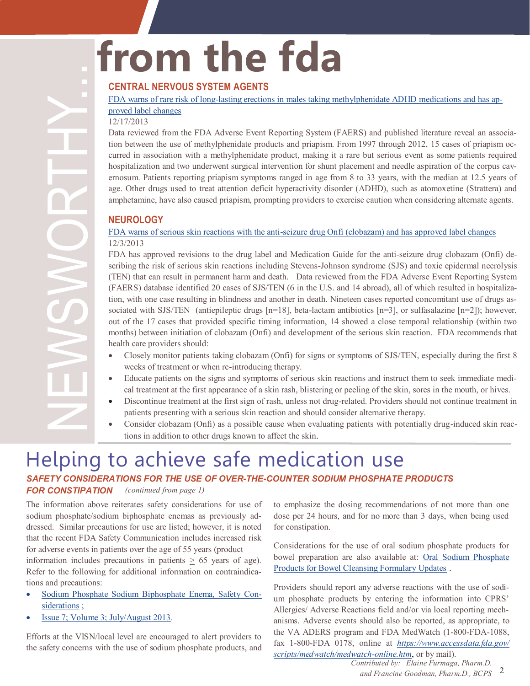# **from the fda**

# **CENTRAL NERVOUS SYSTEM AGENTS**

#### FDA warns of rare risk of long-[lasting erections in males taking methylphenidate ADHD medications and has ap-](http://www.fda.gov/Drugs/DrugSafety/ucm375796.htm)

# [proved label changes](http://www.fda.gov/Drugs/DrugSafety/ucm375796.htm)

#### 12/17/2013

Data reviewed from the FDA Adverse Event Reporting System (FAERS) and published literature reveal an association between the use of methylphenidate products and priapism. From 1997 through 2012, 15 cases of priapism occurred in association with a methylphenidate product, making it a rare but serious event as some patients required hospitalization and two underwent surgical intervention for shunt placement and needle aspiration of the corpus cavernosum. Patients reporting priapism symptoms ranged in age from 8 to 33 years, with the median at 12.5 years of age. Other drugs used to treat attention deficit hyperactivity disorder (ADHD), such as atomoxetine (Strattera) and amphetamine, have also caused priapism, prompting providers to exercise caution when considering alternate agents.

## **NEUROLOGY**

## FDA warns of serious skin reactions with the anti-[seizure drug Onfi \(clobazam\) and has approved label changes](http://www.fda.gov/Drugs/DrugSafety/ucm377204.htm) 12/3/2013

FDA has approved revisions to the drug label and Medication Guide for the anti-seizure drug clobazam (Onfi) describing the risk of serious skin reactions including Stevens-Johnson syndrome (SJS) and toxic epidermal necrolysis (TEN) that can result in permanent harm and death. Data reviewed from the FDA Adverse Event Reporting System (FAERS) database identified 20 cases of SJS/TEN (6 in the U.S. and 14 abroad), all of which resulted in hospitalization, with one case resulting in blindness and another in death. Nineteen cases reported concomitant use of drugs associated with SJS/TEN (antiepileptic drugs  $[n=18]$ , beta-lactam antibiotics  $[n=3]$ , or sulfasalazine  $[n=2]$ ); however, out of the 17 cases that provided specific timing information, 14 showed a close temporal relationship (within two months) between initiation of clobazam (Onfi) and development of the serious skin reaction. FDA recommends that health care providers should:

- Closely monitor patients taking clobazam (Onfi) for signs or symptoms of SJS/TEN, especially during the first 8 weeks of treatment or when re-introducing therapy.
- Educate patients on the signs and symptoms of serious skin reactions and instruct them to seek immediate medical treatment at the first appearance of a skin rash, blistering or peeling of the skin, sores in the mouth, or hives.
- Discontinue treatment at the first sign of rash, unless not drug-related. Providers should not continue treatment in patients presenting with a serious skin reaction and should consider alternative therapy.
- Consider clobazam (Onfi) as a possible cause when evaluating patients with potentially drug-induced skin reactions in addition to other drugs known to affect the skin.

# Helping to achieve safe medication use

#### *(continued from page 1) SAFETY CONSIDERATIONS FOR THE USE OF OVER-THE-COUNTER SODIUM PHOSPHATE PRODUCTS FOR CONSTIPATION*

The information above reiterates safety considerations for use of sodium phosphate/sodium biphosphate enemas as previously addressed. Similar precautions for use are listed; however, it is noted that the recent FDA Safety Communication includes increased risk for adverse events in patients over the age of 55 years (product

information includes precautions in patients  $\geq$  65 years of age). Refer to the following for additional information on contraindications and precautions:

- [Sodium Phosphate Sodium Biphosphate Enema, Safety Con](http://www.pbm.va.gov/PBM/clinicalguidance/clinicalrecommendations/Sodium_Phosphate_Sodium_Biphosphate_Enema_Safety_Considerations.pdf)[siderations](http://www.pbm.va.gov/PBM/clinicalguidance/clinicalrecommendations/Sodium_Phosphate_Sodium_Biphosphate_Enema_Safety_Considerations.pdf) ;
- [Issue 7; Volume 3; July/August 2013.](http://www.pbm.va.gov/PBM/vacenterformedicationsafety/newsletter/Medication_Safety_in_Seconds_July_Aug_2013_FINAL.pdf)

Efforts at the VISN/local level are encouraged to alert providers to the safety concerns with the use of sodium phosphate products, and to emphasize the dosing recommendations of not more than one dose per 24 hours, and for no more than 3 days, when being used for constipation.

Considerations for the use of oral sodium phosphate products for bowel preparation are also available at: [Oral Sodium Phosphate](https://vaww.cmopnational.va.gov/cmop/PBM/Clinical%20Guidance/Clinical%20Recommendations/Oral%20Sodium%20Phosphate%20(OSP)%20Products%20for%20Bowel%20Cleansing,%20Formulary%20Updates.doc)  [Products for Bowel Cleansing Formulary Updates](https://vaww.cmopnational.va.gov/cmop/PBM/Clinical%20Guidance/Clinical%20Recommendations/Oral%20Sodium%20Phosphate%20(OSP)%20Products%20for%20Bowel%20Cleansing,%20Formulary%20Updates.doc) .

Providers should report any adverse reactions with the use of sodium phosphate products by entering the information into CPRS' Allergies/ Adverse Reactions field and/or via local reporting mechanisms. Adverse events should also be reported, as appropriate, to the VA ADERS program and FDA MedWatch (1-800-FDA-1088, fax 1-800-FDA 0178, online at *[https://www.accessdata.fda.gov/](https://www.accessdata.fda.gov/scripts/medwatch/medwatch-online.htm) [scripts/medwatch/medwatch](https://www.accessdata.fda.gov/scripts/medwatch/medwatch-online.htm)-online.htm*, or by mail).

*Contributed by: Elaine Furmaga, Pharm.D.*

<sup>2</sup> *and Francine Goodman, Pharm.D., BCPS*